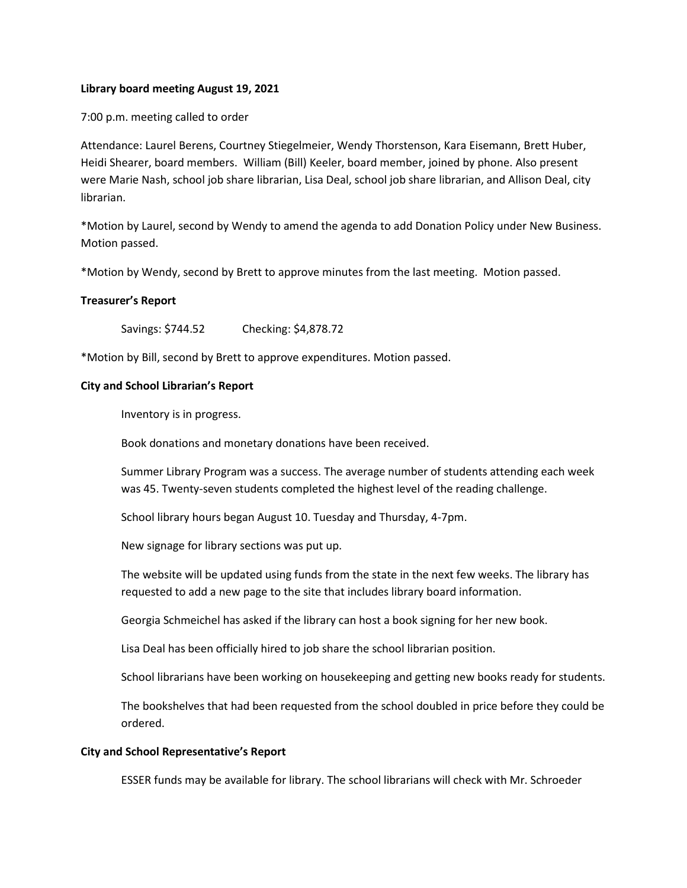## **Library board meeting August 19, 2021**

7:00 p.m. meeting called to order

Attendance: Laurel Berens, Courtney Stiegelmeier, Wendy Thorstenson, Kara Eisemann, Brett Huber, Heidi Shearer, board members. William (Bill) Keeler, board member, joined by phone. Also present were Marie Nash, school job share librarian, Lisa Deal, school job share librarian, and Allison Deal, city librarian.

\*Motion by Laurel, second by Wendy to amend the agenda to add Donation Policy under New Business. Motion passed.

\*Motion by Wendy, second by Brett to approve minutes from the last meeting. Motion passed.

## **Treasurer's Report**

Savings: \$744.52 Checking: \$4,878.72

\*Motion by Bill, second by Brett to approve expenditures. Motion passed.

## **City and School Librarian's Report**

Inventory is in progress.

Book donations and monetary donations have been received.

Summer Library Program was a success. The average number of students attending each week was 45. Twenty-seven students completed the highest level of the reading challenge.

School library hours began August 10. Tuesday and Thursday, 4-7pm.

New signage for library sections was put up.

The website will be updated using funds from the state in the next few weeks. The library has requested to add a new page to the site that includes library board information.

Georgia Schmeichel has asked if the library can host a book signing for her new book.

Lisa Deal has been officially hired to job share the school librarian position.

School librarians have been working on housekeeping and getting new books ready for students.

The bookshelves that had been requested from the school doubled in price before they could be ordered.

## **City and School Representative's Report**

ESSER funds may be available for library. The school librarians will check with Mr. Schroeder